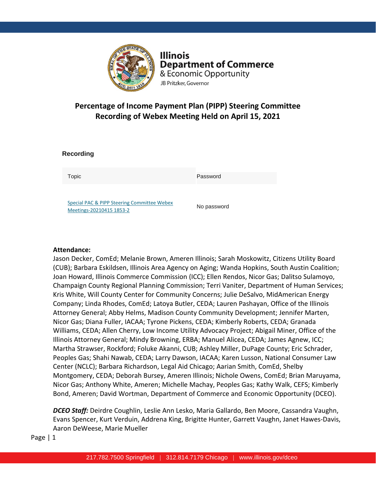

**Illinois Department of Commerce** & Economic Opportunity JB Pritzker, Governor

# **Percentage of Income Payment Plan (PIPP) Steering Committee Recording of Webex Meeting Held on April 15, 2021**

| <b>Recording</b>                                                        |             |  |
|-------------------------------------------------------------------------|-------------|--|
| Topic                                                                   | Password    |  |
| Special PAC & PIPP Steering Committee Webex<br>Meetings-20210415 1853-2 | No password |  |

### **Attendance:**

Jason Decker, ComEd; Melanie Brown, Ameren Illinois; Sarah Moskowitz, Citizens Utility Board (CUB); Barbara Eskildsen, Illinois Area Agency on Aging; Wanda Hopkins, South Austin Coalition; Joan Howard, Illinois Commerce Commission (ICC); Ellen Rendos, Nicor Gas; Dalitso Sulamoyo, Champaign County Regional Planning Commission; Terri Vaniter, Department of Human Services; Kris White, Will County Center for Community Concerns; Julie DeSalvo, MidAmerican Energy Company; Linda Rhodes, ComEd; Latoya Butler, CEDA; Lauren Pashayan, Office of the Illinois Attorney General; Abby Helms, Madison County Community Development; Jennifer Marten, Nicor Gas; Diana Fuller, IACAA; Tyrone Pickens, CEDA; Kimberly Roberts, CEDA; Granada Williams, CEDA; Allen Cherry, Low Income Utility Advocacy Project; Abigail Miner, Office of the Illinois Attorney General; Mindy Browning, ERBA; Manuel Alicea, CEDA; James Agnew, ICC; Martha Strawser, Rockford; Foluke Akanni, CUB; Ashley Miller, DuPage County; Eric Schrader, Peoples Gas; Shahi Nawab, CEDA; Larry Dawson, IACAA; Karen Lusson, National Consumer Law Center (NCLC); Barbara Richardson, Legal Aid Chicago; Aarian Smith, ComEd, Shelby Montgomery, CEDA; Deborah Bursey, Ameren Illinois; Nichole Owens, ComEd; Brian Maruyama, Nicor Gas; Anthony White, Ameren; Michelle Machay, Peoples Gas; Kathy Walk, CEFS; Kimberly Bond, Ameren; David Wortman, Department of Commerce and Economic Opportunity (DCEO).

*DCEO Staff:* Deirdre Coughlin, Leslie Ann Lesko, Maria Gallardo, Ben Moore, Cassandra Vaughn, Evans Spencer, Kurt Verduin, Addrena King, Brigitte Hunter, Garrett Vaughn, Janet Hawes-Davis, Aaron DeWeese, Marie Mueller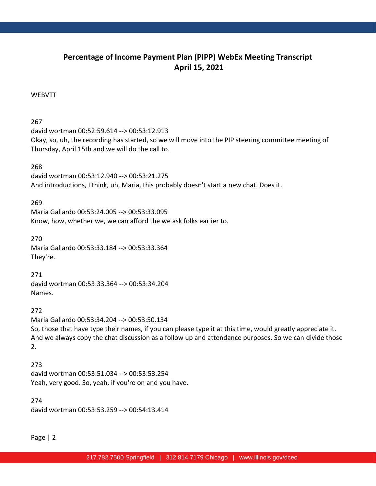# **Percentage of Income Payment Plan (PIPP) WebEx Meeting Transcript April 15, 2021**

#### WEBVTT

#### 267

david wortman 00:52:59.614 --> 00:53:12.913 Okay, so, uh, the recording has started, so we will move into the PIP steering committee meeting of Thursday, April 15th and we will do the call to.

### 268

david wortman 00:53:12.940 --> 00:53:21.275 And introductions, I think, uh, Maria, this probably doesn't start a new chat. Does it.

### 269

Maria Gallardo 00:53:24.005 --> 00:53:33.095 Know, how, whether we, we can afford the we ask folks earlier to.

270 Maria Gallardo 00:53:33.184 --> 00:53:33.364 They're.

271 david wortman 00:53:33.364 --> 00:53:34.204 Names.

#### 272

Maria Gallardo 00:53:34.204 --> 00:53:50.134 So, those that have type their names, if you can please type it at this time, would greatly appreciate it. And we always copy the chat discussion as a follow up and attendance purposes. So we can divide those 2.

273 david wortman 00:53:51.034 --> 00:53:53.254 Yeah, very good. So, yeah, if you're on and you have.

### 274

david wortman 00:53:53.259 --> 00:54:13.414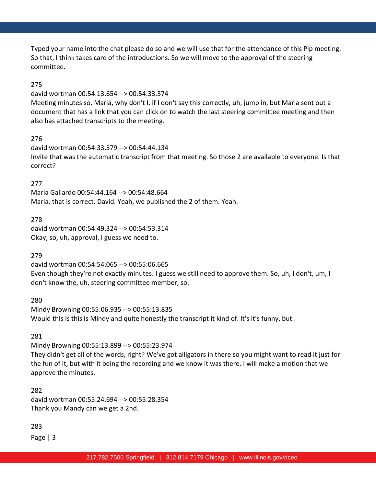Typed your name into the chat please do so and we will use that for the attendance of this Pip meeting. So that, I think takes care of the introductions. So we will move to the approval of the steering committee.

### 275

david wortman 00:54:13.654 --> 00:54:33.574

Meeting minutes so, Maria, why don't I, if I don't say this correctly, uh, jump in, but Maria sent out a document that has a link that you can click on to watch the last steering committee meeting and then also has attached transcripts to the meeting.

### 276

david wortman 00:54:33.579 --> 00:54:44.134 Invite that was the automatic transcript from that meeting. So those 2 are available to everyone. Is that correct?

### 277

Maria Gallardo 00:54:44.164 --> 00:54:48.664 Maria, that is correct. David. Yeah, we published the 2 of them. Yeah.

### 278

david wortman 00:54:49.324 --> 00:54:53.314 Okay, so, uh, approval, I guess we need to.

### 279

david wortman 00:54:54.065 --> 00:55:06.665 Even though they're not exactly minutes. I guess we still need to approve them. So, uh, I don't, um, I don't know the, uh, steering committee member, so.

280 Mindy Browning 00:55:06.935 --> 00:55:13.835 Would this is this is Mindy and quite honestly the transcript it kind of. It's it's funny, but.

### 281

Mindy Browning 00:55:13.899 --> 00:55:23.974 They didn't get all of the words, right? We've got alligators in there so you might want to read it just for the fun of it, but with it being the recording and we know it was there. I will make a motion that we approve the minutes.

282 david wortman 00:55:24.694 --> 00:55:28.354 Thank you Mandy can we get a 2nd.

# 283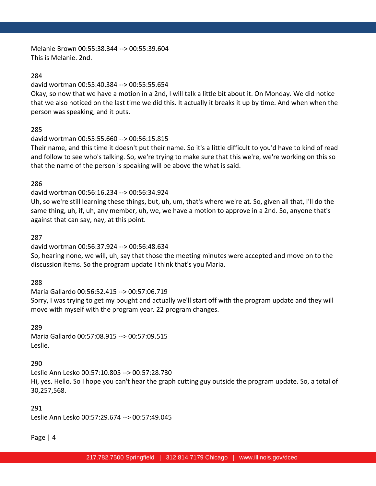Melanie Brown 00:55:38.344 --> 00:55:39.604 This is Melanie. 2nd.

#### 284

#### david wortman 00:55:40.384 --> 00:55:55.654

Okay, so now that we have a motion in a 2nd, I will talk a little bit about it. On Monday. We did notice that we also noticed on the last time we did this. It actually it breaks it up by time. And when when the person was speaking, and it puts.

### 285

### david wortman 00:55:55.660 --> 00:56:15.815

Their name, and this time it doesn't put their name. So it's a little difficult to you'd have to kind of read and follow to see who's talking. So, we're trying to make sure that this we're, we're working on this so that the name of the person is speaking will be above the what is said.

### 286

### david wortman 00:56:16.234 --> 00:56:34.924

Uh, so we're still learning these things, but, uh, um, that's where we're at. So, given all that, I'll do the same thing, uh, if, uh, any member, uh, we, we have a motion to approve in a 2nd. So, anyone that's against that can say, nay, at this point.

### 287

### david wortman 00:56:37.924 --> 00:56:48.634

So, hearing none, we will, uh, say that those the meeting minutes were accepted and move on to the discussion items. So the program update I think that's you Maria.

### 288

### Maria Gallardo 00:56:52.415 --> 00:57:06.719 Sorry, I was trying to get my bought and actually we'll start off with the program update and they will move with myself with the program year. 22 program changes.

# 289 Maria Gallardo 00:57:08.915 --> 00:57:09.515

Leslie.

### 290

# Leslie Ann Lesko 00:57:10.805 --> 00:57:28.730 Hi, yes. Hello. So I hope you can't hear the graph cutting guy outside the program update. So, a total of 30,257,568.

### 291 Leslie Ann Lesko 00:57:29.674 --> 00:57:49.045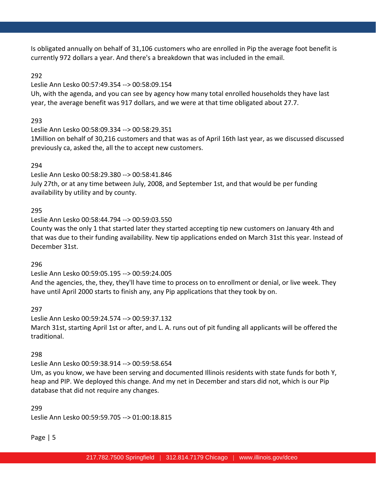Is obligated annually on behalf of 31,106 customers who are enrolled in Pip the average foot benefit is currently 972 dollars a year. And there's a breakdown that was included in the email.

### 292

### Leslie Ann Lesko 00:57:49.354 --> 00:58:09.154

Uh, with the agenda, and you can see by agency how many total enrolled households they have last year, the average benefit was 917 dollars, and we were at that time obligated about 27.7.

### 293

Leslie Ann Lesko 00:58:09.334 --> 00:58:29.351 1Million on behalf of 30,216 customers and that was as of April 16th last year, as we discussed discussed previously ca, asked the, all the to accept new customers.

### 294

Leslie Ann Lesko 00:58:29.380 --> 00:58:41.846 July 27th, or at any time between July, 2008, and September 1st, and that would be per funding availability by utility and by county.

### 295

Leslie Ann Lesko 00:58:44.794 --> 00:59:03.550

County was the only 1 that started later they started accepting tip new customers on January 4th and that was due to their funding availability. New tip applications ended on March 31st this year. Instead of December 31st.

296

Leslie Ann Lesko 00:59:05.195 --> 00:59:24.005 And the agencies, the, they, they'll have time to process on to enrollment or denial, or live week. They have until April 2000 starts to finish any, any Pip applications that they took by on.

### 297

Leslie Ann Lesko 00:59:24.574 --> 00:59:37.132 March 31st, starting April 1st or after, and L. A. runs out of pit funding all applicants will be offered the traditional.

# 298

Leslie Ann Lesko 00:59:38.914 --> 00:59:58.654

Um, as you know, we have been serving and documented Illinois residents with state funds for both Y, heap and PIP. We deployed this change. And my net in December and stars did not, which is our Pip database that did not require any changes.

299 Leslie Ann Lesko 00:59:59.705 --> 01:00:18.815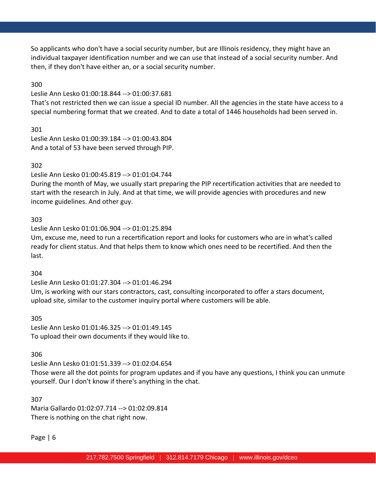So applicants who don't have a social security number, but are Illinois residency, they might have an individual taxpayer identification number and we can use that instead of a social security number. And then, if they don't have either an, or a social security number.

300

Leslie Ann Lesko 01:00:18.844 --> 01:00:37.681

That's not restricted then we can issue a special ID number. All the agencies in the state have access to a special numbering format that we created. And to date a total of 1446 households had been served in.

301

Leslie Ann Lesko 01:00:39.184 --> 01:00:43.804 And a total of 53 have been served through PIP.

### 302

Leslie Ann Lesko 01:00:45.819 --> 01:01:04.744 During the month of May, we usually start preparing the PIP recertification activities that are needed to start with the research in July. And at that time, we will provide agencies with procedures and new income guidelines. And other guy.

303

Leslie Ann Lesko 01:01:06.904 --> 01:01:25.894 Um, excuse me, need to run a recertification report and looks for customers who are in what's called ready for client status. And that helps them to know which ones need to be recertified. And then the last.

304

Leslie Ann Lesko 01:01:27.304 --> 01:01:46.294 Um, is working with our stars contractors, cast, consulting incorporated to offer a stars document, upload site, similar to the customer inquiry portal where customers will be able.

305

Leslie Ann Lesko 01:01:46.325 --> 01:01:49.145 To upload their own documents if they would like to.

306

Leslie Ann Lesko 01:01:51.339 --> 01:02:04.654 Those were all the dot points for program updates and if you have any questions, I think you can unmute yourself. Our I don't know if there's anything in the chat.

307

Maria Gallardo 01:02:07.714 --> 01:02:09.814 There is nothing on the chat right now.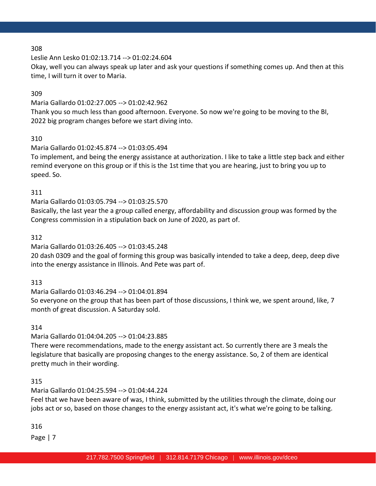Leslie Ann Lesko 01:02:13.714 --> 01:02:24.604

Okay, well you can always speak up later and ask your questions if something comes up. And then at this time, I will turn it over to Maria.

### 309

Maria Gallardo 01:02:27.005 --> 01:02:42.962

Thank you so much less than good afternoon. Everyone. So now we're going to be moving to the BI, 2022 big program changes before we start diving into.

### 310

Maria Gallardo 01:02:45.874 --> 01:03:05.494

To implement, and being the energy assistance at authorization. I like to take a little step back and either remind everyone on this group or if this is the 1st time that you are hearing, just to bring you up to speed. So.

### 311

Maria Gallardo 01:03:05.794 --> 01:03:25.570

Basically, the last year the a group called energy, affordability and discussion group was formed by the Congress commission in a stipulation back on June of 2020, as part of.

### 312

Maria Gallardo 01:03:26.405 --> 01:03:45.248

20 dash 0309 and the goal of forming this group was basically intended to take a deep, deep, deep dive into the energy assistance in Illinois. And Pete was part of.

# 313

Maria Gallardo 01:03:46.294 --> 01:04:01.894 So everyone on the group that has been part of those discussions, I think we, we spent around, like, 7 month of great discussion. A Saturday sold.

# 314

Maria Gallardo 01:04:04.205 --> 01:04:23.885

There were recommendations, made to the energy assistant act. So currently there are 3 meals the legislature that basically are proposing changes to the energy assistance. So, 2 of them are identical pretty much in their wording.

# 315

Maria Gallardo 01:04:25.594 --> 01:04:44.224 Feel that we have been aware of was, I think, submitted by the utilities through the climate, doing our

jobs act or so, based on those changes to the energy assistant act, it's what we're going to be talking.

# 316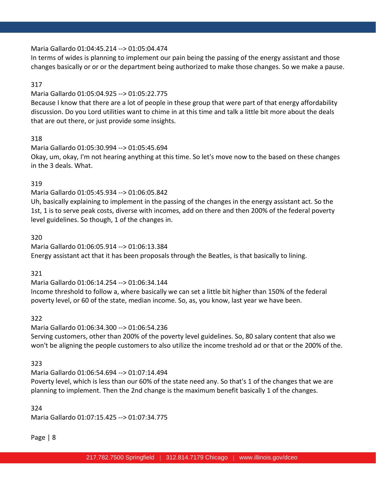### Maria Gallardo 01:04:45.214 --> 01:05:04.474

In terms of wides is planning to implement our pain being the passing of the energy assistant and those changes basically or or or the department being authorized to make those changes. So we make a pause.

### 317

### Maria Gallardo 01:05:04.925 --> 01:05:22.775

Because I know that there are a lot of people in these group that were part of that energy affordability discussion. Do you Lord utilities want to chime in at this time and talk a little bit more about the deals that are out there, or just provide some insights.

### 318

Maria Gallardo 01:05:30.994 --> 01:05:45.694 Okay, um, okay, I'm not hearing anything at this time. So let's move now to the based on these changes in the 3 deals. What.

# 319

Maria Gallardo 01:05:45.934 --> 01:06:05.842

Uh, basically explaining to implement in the passing of the changes in the energy assistant act. So the 1st, 1 is to serve peak costs, diverse with incomes, add on there and then 200% of the federal poverty level guidelines. So though, 1 of the changes in.

# 320

Maria Gallardo 01:06:05.914 --> 01:06:13.384 Energy assistant act that it has been proposals through the Beatles, is that basically to lining.

# 321

Maria Gallardo 01:06:14.254 --> 01:06:34.144 Income threshold to follow a, where basically we can set a little bit higher than 150% of the federal poverty level, or 60 of the state, median income. So, as, you know, last year we have been.

# 322

Maria Gallardo 01:06:34.300 --> 01:06:54.236 Serving customers, other than 200% of the poverty level guidelines. So, 80 salary content that also we won't be aligning the people customers to also utilize the income treshold ad or that or the 200% of the.

# 323

# Maria Gallardo 01:06:54.694 --> 01:07:14.494

Poverty level, which is less than our 60% of the state need any. So that's 1 of the changes that we are planning to implement. Then the 2nd change is the maximum benefit basically 1 of the changes.

### 324

Maria Gallardo 01:07:15.425 --> 01:07:34.775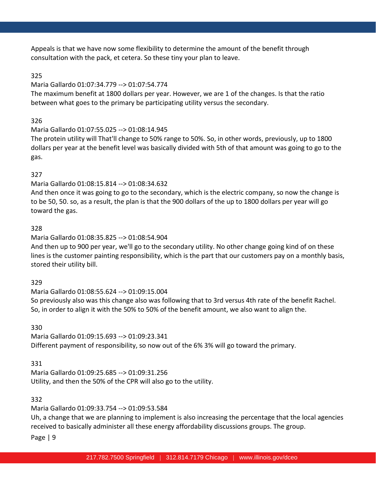Appeals is that we have now some flexibility to determine the amount of the benefit through consultation with the pack, et cetera. So these tiny your plan to leave.

### 325

### Maria Gallardo 01:07:34.779 --> 01:07:54.774

The maximum benefit at 1800 dollars per year. However, we are 1 of the changes. Is that the ratio between what goes to the primary be participating utility versus the secondary.

# 326

# Maria Gallardo 01:07:55.025 --> 01:08:14.945

The protein utility will That'll change to 50% range to 50%. So, in other words, previously, up to 1800 dollars per year at the benefit level was basically divided with 5th of that amount was going to go to the gas.

# 327

# Maria Gallardo 01:08:15.814 --> 01:08:34.632

And then once it was going to go to the secondary, which is the electric company, so now the change is to be 50, 50. so, as a result, the plan is that the 900 dollars of the up to 1800 dollars per year will go toward the gas.

# 328

# Maria Gallardo 01:08:35.825 --> 01:08:54.904

And then up to 900 per year, we'll go to the secondary utility. No other change going kind of on these lines is the customer painting responsibility, which is the part that our customers pay on a monthly basis, stored their utility bill.

# 329

Maria Gallardo 01:08:55.624 --> 01:09:15.004 So previously also was this change also was following that to 3rd versus 4th rate of the benefit Rachel. So, in order to align it with the 50% to 50% of the benefit amount, we also want to align the.

# 330

Maria Gallardo 01:09:15.693 --> 01:09:23.341 Different payment of responsibility, so now out of the 6% 3% will go toward the primary.

# 331

Maria Gallardo 01:09:25.685 --> 01:09:31.256 Utility, and then the 50% of the CPR will also go to the utility.

# 332

# Maria Gallardo 01:09:33.754 --> 01:09:53.584

Uh, a change that we are planning to implement is also increasing the percentage that the local agencies received to basically administer all these energy affordability discussions groups. The group.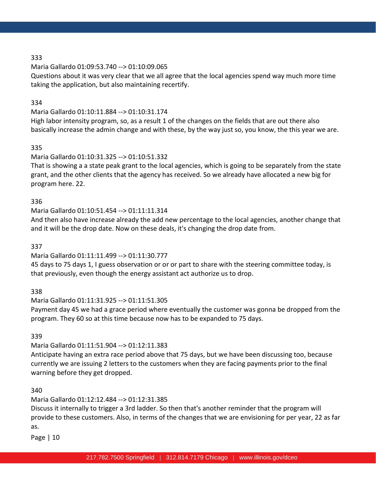Maria Gallardo 01:09:53.740 --> 01:10:09.065

Questions about it was very clear that we all agree that the local agencies spend way much more time taking the application, but also maintaining recertify.

### 334

# Maria Gallardo 01:10:11.884 --> 01:10:31.174

High labor intensity program, so, as a result 1 of the changes on the fields that are out there also basically increase the admin change and with these, by the way just so, you know, the this year we are.

# 335

# Maria Gallardo 01:10:31.325 --> 01:10:51.332

That is showing a a state peak grant to the local agencies, which is going to be separately from the state grant, and the other clients that the agency has received. So we already have allocated a new big for program here. 22.

### 336

# Maria Gallardo 01:10:51.454 --> 01:11:11.314

And then also have increase already the add new percentage to the local agencies, another change that and it will be the drop date. Now on these deals, it's changing the drop date from.

### 337

# Maria Gallardo 01:11:11.499 --> 01:11:30.777

45 days to 75 days 1, I guess observation or or or part to share with the steering committee today, is that previously, even though the energy assistant act authorize us to drop.

338

### Maria Gallardo 01:11:31.925 --> 01:11:51.305 Payment day 45 we had a grace period where eventually the customer was gonna be dropped from the program. They 60 so at this time because now has to be expanded to 75 days.

# 339

# Maria Gallardo 01:11:51.904 --> 01:12:11.383

Anticipate having an extra race period above that 75 days, but we have been discussing too, because currently we are issuing 2 letters to the customers when they are facing payments prior to the final warning before they get dropped.

### 340

Maria Gallardo 01:12:12.484 --> 01:12:31.385

Discuss it internally to trigger a 3rd ladder. So then that's another reminder that the program will provide to these customers. Also, in terms of the changes that we are envisioning for per year, 22 as far as.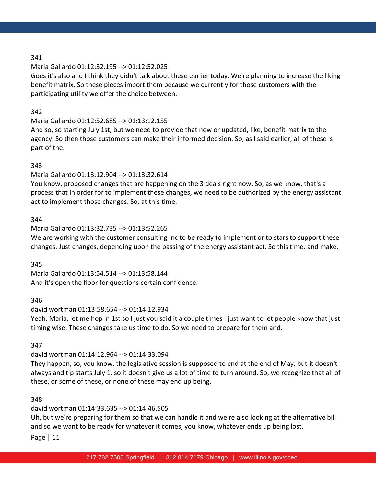### Maria Gallardo 01:12:32.195 --> 01:12:52.025

Goes it's also and I think they didn't talk about these earlier today. We're planning to increase the liking benefit matrix. So these pieces import them because we currently for those customers with the participating utility we offer the choice between.

### 342

### Maria Gallardo 01:12:52.685 --> 01:13:12.155

And so, so starting July 1st, but we need to provide that new or updated, like, benefit matrix to the agency. So then those customers can make their informed decision. So, as I said earlier, all of these is part of the.

### 343

Maria Gallardo 01:13:12.904 --> 01:13:32.614

You know, proposed changes that are happening on the 3 deals right now. So, as we know, that's a process that in order for to implement these changes, we need to be authorized by the energy assistant act to implement those changes. So, at this time.

### 344

### Maria Gallardo 01:13:32.735 --> 01:13:52.265

We are working with the customer consulting Inc to be ready to implement or to stars to support these changes. Just changes, depending upon the passing of the energy assistant act. So this time, and make.

# 345

Maria Gallardo 01:13:54.514 --> 01:13:58.144 And it's open the floor for questions certain confidence.

# 346

david wortman 01:13:58.654 --> 01:14:12.934 Yeah, Maria, let me hop in 1st so I just you said it a couple times I just want to let people know that just timing wise. These changes take us time to do. So we need to prepare for them and.

347

# david wortman 01:14:12.964 --> 01:14:33.094

They happen, so, you know, the legislative session is supposed to end at the end of May, but it doesn't always and tip starts July 1. so it doesn't give us a lot of time to turn around. So, we recognize that all of these, or some of these, or none of these may end up being.

348

# david wortman 01:14:33.635 --> 01:14:46.505

Uh, but we're preparing for them so that we can handle it and we're also looking at the alternative bill and so we want to be ready for whatever it comes, you know, whatever ends up being lost.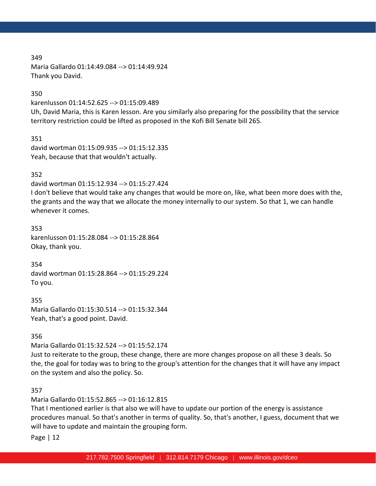349 Maria Gallardo 01:14:49.084 --> 01:14:49.924 Thank you David.

350

karenlusson 01:14:52.625 --> 01:15:09.489 Uh, David Maria, this is Karen lesson. Are you similarly also preparing for the possibility that the service territory restriction could be lifted as proposed in the Kofi Bill Senate bill 265.

351 david wortman 01:15:09.935 --> 01:15:12.335 Yeah, because that that wouldn't actually.

# 352

david wortman 01:15:12.934 --> 01:15:27.424

I don't believe that would take any changes that would be more on, like, what been more does with the, the grants and the way that we allocate the money internally to our system. So that 1, we can handle whenever it comes.

353 karenlusson 01:15:28.084 --> 01:15:28.864 Okay, thank you.

354 david wortman 01:15:28.864 --> 01:15:29.224 To you.

355 Maria Gallardo 01:15:30.514 --> 01:15:32.344 Yeah, that's a good point. David.

356

Maria Gallardo 01:15:32.524 --> 01:15:52.174

Just to reiterate to the group, these change, there are more changes propose on all these 3 deals. So the, the goal for today was to bring to the group's attention for the changes that it will have any impact on the system and also the policy. So.

357

Maria Gallardo 01:15:52.865 --> 01:16:12.815

That I mentioned earlier is that also we will have to update our portion of the energy is assistance procedures manual. So that's another in terms of quality. So, that's another, I guess, document that we will have to update and maintain the grouping form.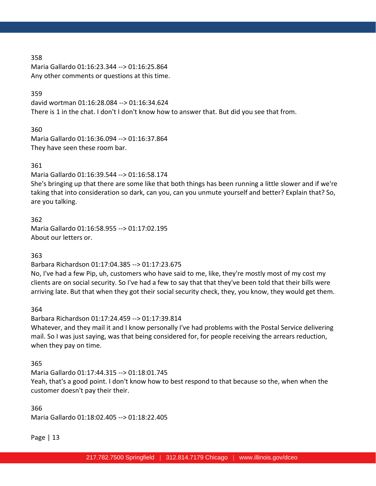Maria Gallardo 01:16:23.344 --> 01:16:25.864 Any other comments or questions at this time.

#### 359

david wortman 01:16:28.084 --> 01:16:34.624 There is 1 in the chat. I don't I don't know how to answer that. But did you see that from.

### 360

Maria Gallardo 01:16:36.094 --> 01:16:37.864 They have seen these room bar.

### 361

Maria Gallardo 01:16:39.544 --> 01:16:58.174

She's bringing up that there are some like that both things has been running a little slower and if we're taking that into consideration so dark, can you, can you unmute yourself and better? Explain that? So, are you talking.

362 Maria Gallardo 01:16:58.955 --> 01:17:02.195 About our letters or.

363

Barbara Richardson 01:17:04.385 --> 01:17:23.675

No, I've had a few Pip, uh, customers who have said to me, like, they're mostly most of my cost my clients are on social security. So I've had a few to say that that they've been told that their bills were arriving late. But that when they got their social security check, they, you know, they would get them.

364

Barbara Richardson 01:17:24.459 --> 01:17:39.814 Whatever, and they mail it and I know personally I've had problems with the Postal Service delivering mail. So I was just saying, was that being considered for, for people receiving the arrears reduction, when they pay on time.

### 365

Maria Gallardo 01:17:44.315 --> 01:18:01.745 Yeah, that's a good point. I don't know how to best respond to that because so the, when when the customer doesn't pay their their.

### 366 Maria Gallardo 01:18:02.405 --> 01:18:22.405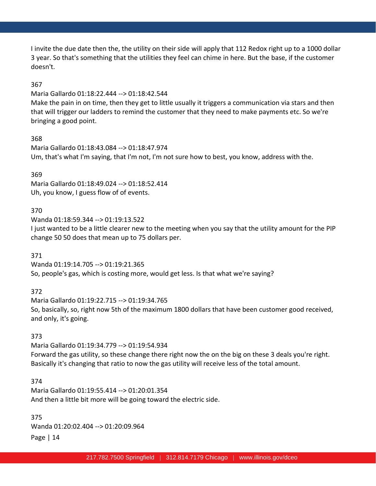I invite the due date then the, the utility on their side will apply that 112 Redox right up to a 1000 dollar 3 year. So that's something that the utilities they feel can chime in here. But the base, if the customer doesn't.

### 367

Maria Gallardo 01:18:22.444 --> 01:18:42.544

Make the pain in on time, then they get to little usually it triggers a communication via stars and then that will trigger our ladders to remind the customer that they need to make payments etc. So we're bringing a good point.

### 368

Maria Gallardo 01:18:43.084 --> 01:18:47.974 Um, that's what I'm saying, that I'm not, I'm not sure how to best, you know, address with the.

### 369

Maria Gallardo 01:18:49.024 --> 01:18:52.414 Uh, you know, I guess flow of of events.

### 370

Wanda 01:18:59.344 --> 01:19:13.522

I just wanted to be a little clearer new to the meeting when you say that the utility amount for the PIP change 50 50 does that mean up to 75 dollars per.

### 371

Wanda 01:19:14.705 --> 01:19:21.365 So, people's gas, which is costing more, would get less. Is that what we're saying?

# 372

Maria Gallardo 01:19:22.715 --> 01:19:34.765 So, basically, so, right now 5th of the maximum 1800 dollars that have been customer good received, and only, it's going.

### 373

Maria Gallardo 01:19:34.779 --> 01:19:54.934 Forward the gas utility, so these change there right now the on the big on these 3 deals you're right. Basically it's changing that ratio to now the gas utility will receive less of the total amount.

# 374

Maria Gallardo 01:19:55.414 --> 01:20:01.354 And then a little bit more will be going toward the electric side.

Page | 14 375 Wanda 01:20:02.404 --> 01:20:09.964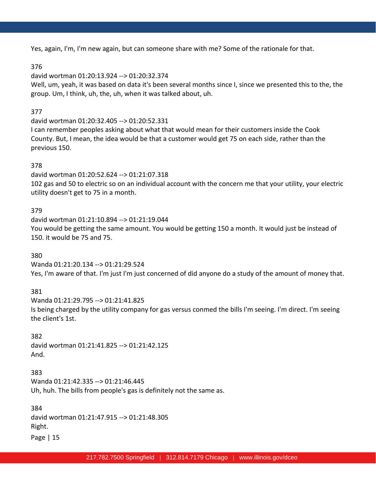Yes, again, I'm, I'm new again, but can someone share with me? Some of the rationale for that.

### 376

david wortman 01:20:13.924 --> 01:20:32.374

Well, um, yeah, it was based on data it's been several months since I, since we presented this to the, the group. Um, I think, uh, the, uh, when it was talked about, uh.

# 377

david wortman 01:20:32.405 --> 01:20:52.331

I can remember peoples asking about what that would mean for their customers inside the Cook County. But, I mean, the idea would be that a customer would get 75 on each side, rather than the previous 150.

# 378

david wortman 01:20:52.624 --> 01:21:07.318 102 gas and 50 to electric so on an individual account with the concern me that your utility, your electric utility doesn't get to 75 in a month.

# 379

david wortman 01:21:10.894 --> 01:21:19.044 You would be getting the same amount. You would be getting 150 a month. It would just be instead of 150. it would be 75 and 75.

# 380

Wanda 01:21:20.134 --> 01:21:29.524 Yes, I'm aware of that. I'm just I'm just concerned of did anyone do a study of the amount of money that.

# 381

Wanda 01:21:29.795 --> 01:21:41.825 Is being charged by the utility company for gas versus conmed the bills I'm seeing. I'm direct. I'm seeing the client's 1st.

# 382

david wortman 01:21:41.825 --> 01:21:42.125 And.

### 383

Wanda 01:21:42.335 --> 01:21:46.445 Uh, huh. The bills from people's gas is definitely not the same as.

### 384

david wortman 01:21:47.915 --> 01:21:48.305 Right.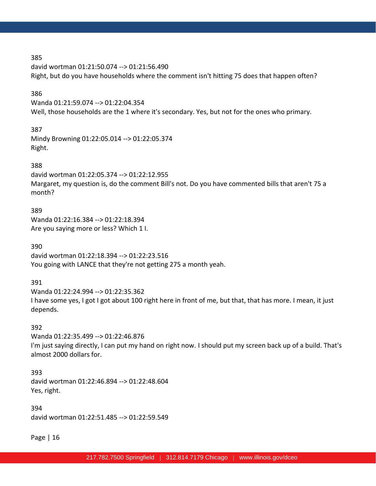david wortman 01:21:50.074 --> 01:21:56.490 Right, but do you have households where the comment isn't hitting 75 does that happen often?

### 386

Wanda 01:21:59.074 --> 01:22:04.354 Well, those households are the 1 where it's secondary. Yes, but not for the ones who primary.

### 387

Mindy Browning 01:22:05.014 --> 01:22:05.374 Right.

### 388

david wortman 01:22:05.374 --> 01:22:12.955 Margaret, my question is, do the comment Bill's not. Do you have commented bills that aren't 75 a month?

### 389

Wanda 01:22:16.384 --> 01:22:18.394 Are you saying more or less? Which 1 I.

390 david wortman 01:22:18.394 --> 01:22:23.516 You going with LANCE that they're not getting 275 a month yeah.

### 391

Wanda 01:22:24.994 --> 01:22:35.362 I have some yes, I got I got about 100 right here in front of me, but that, that has more. I mean, it just depends.

### 392

Wanda 01:22:35.499 --> 01:22:46.876 I'm just saying directly, I can put my hand on right now. I should put my screen back up of a build. That's almost 2000 dollars for.

### 393

david wortman 01:22:46.894 --> 01:22:48.604 Yes, right.

### 394

david wortman 01:22:51.485 --> 01:22:59.549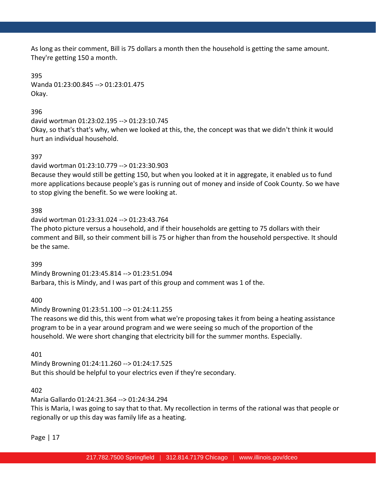As long as their comment, Bill is 75 dollars a month then the household is getting the same amount. They're getting 150 a month.

395 Wanda 01:23:00.845 -- > 01:23:01.475 Okay.

396

david wortman 01:23:02.195 --> 01:23:10.745 Okay, so that's that's why, when we looked at this, the, the concept was that we didn't think it would hurt an individual household.

397

david wortman 01:23:10.779 --> 01:23:30.903 Because they would still be getting 150, but when you looked at it in aggregate, it enabled us to fund

more applications because people's gas is running out of money and inside of Cook County. So we have to stop giving the benefit. So we were looking at.

398

david wortman 01:23:31.024 --> 01:23:43.764 The photo picture versus a household, and if their households are getting to 75 dollars with their comment and Bill, so their comment bill is 75 or higher than from the household perspective. It should be the same.

399

Mindy Browning 01:23:45.814 --> 01:23:51.094 Barbara, this is Mindy, and I was part of this group and comment was 1 of the.

400

Mindy Browning 01:23:51.100 --> 01:24:11.255 The reasons we did this, this went from what we're proposing takes it from being a heating assistance program to be in a year around program and we were seeing so much of the proportion of the household. We were short changing that electricity bill for the summer months. Especially.

401

Mindy Browning 01:24:11.260 --> 01:24:17.525 But this should be helpful to your electrics even if they're secondary.

402

Maria Gallardo 01:24:21.364 --> 01:24:34.294 This is Maria, I was going to say that to that. My recollection in terms of the rational was that people or regionally or up this day was family life as a heating.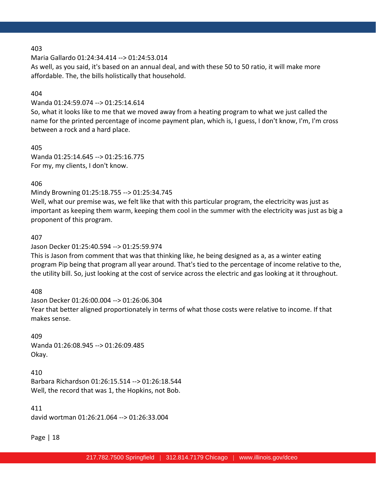Maria Gallardo 01:24:34.414 --> 01:24:53.014

As well, as you said, it's based on an annual deal, and with these 50 to 50 ratio, it will make more affordable. The, the bills holistically that household.

#### 404

### Wanda 01:24:59.074 --> 01:25:14.614

So, what it looks like to me that we moved away from a heating program to what we just called the name for the printed percentage of income payment plan, which is, I guess, I don't know, I'm, I'm cross between a rock and a hard place.

405

Wanda 01:25:14.645 --> 01:25:16.775 For my, my clients, I don't know.

### 406

### Mindy Browning 01:25:18.755 --> 01:25:34.745

Well, what our premise was, we felt like that with this particular program, the electricity was just as important as keeping them warm, keeping them cool in the summer with the electricity was just as big a proponent of this program.

### 407

### Jason Decker 01:25:40.594 --> 01:25:59.974

This is Jason from comment that was that thinking like, he being designed as a, as a winter eating program Pip being that program all year around. That's tied to the percentage of income relative to the, the utility bill. So, just looking at the cost of service across the electric and gas looking at it throughout.

#### 408

Jason Decker 01:26:00.004 --> 01:26:06.304 Year that better aligned proportionately in terms of what those costs were relative to income. If that makes sense.

409 Wanda 01:26:08.945 --> 01:26:09.485 Okay.

410 Barbara Richardson 01:26:15.514 --> 01:26:18.544 Well, the record that was 1, the Hopkins, not Bob.

### 411 david wortman 01:26:21.064 --> 01:26:33.004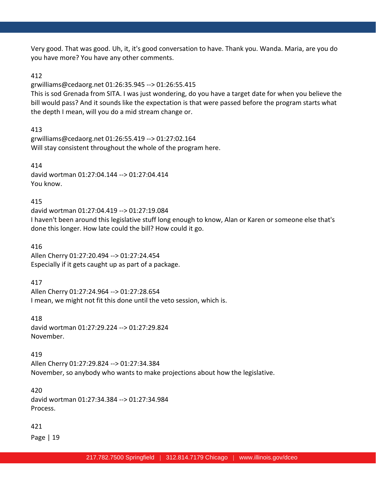Very good. That was good. Uh, it, it's good conversation to have. Thank you. Wanda. Maria, are you do you have more? You have any other comments.

### 412

### grwilliams@cedaorg.net 01:26:35.945 --> 01:26:55.415

This is sod Grenada from SITA. I was just wondering, do you have a target date for when you believe the bill would pass? And it sounds like the expectation is that were passed before the program starts what the depth I mean, will you do a mid stream change or.

### 413

grwilliams@cedaorg.net 01:26:55.419 --> 01:27:02.164 Will stay consistent throughout the whole of the program here.

### 414

david wortman 01:27:04.144 --> 01:27:04.414 You know.

#### 415

david wortman 01:27:04.419 --> 01:27:19.084 I haven't been around this legislative stuff long enough to know, Alan or Karen or someone else that's done this longer. How late could the bill? How could it go.

416 Allen Cherry 01:27:20.494 --> 01:27:24.454 Especially if it gets caught up as part of a package.

#### 417

Allen Cherry 01:27:24.964 --> 01:27:28.654 I mean, we might not fit this done until the veto session, which is.

418 david wortman 01:27:29.224 --> 01:27:29.824 November.

#### 419

Allen Cherry 01:27:29.824 --> 01:27:34.384 November, so anybody who wants to make projections about how the legislative.

420 david wortman 01:27:34.384 --> 01:27:34.984 Process.

#### 421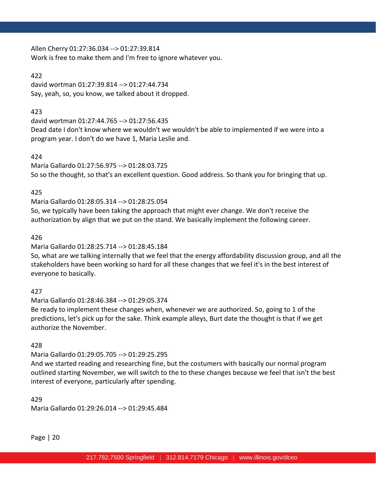Allen Cherry 01:27:36.034 --> 01:27:39.814 Work is free to make them and I'm free to ignore whatever you.

### 422

david wortman 01:27:39.814 --> 01:27:44.734 Say, yeah, so, you know, we talked about it dropped.

### 423

david wortman 01:27:44.765 --> 01:27:56.435 Dead date I don't know where we wouldn't we wouldn't be able to implemented if we were into a program year. I don't do we have 1, Maria Leslie and.

### 424

Maria Gallardo 01:27:56.975 --> 01:28:03.725 So so the thought, so that's an excellent question. Good address. So thank you for bringing that up.

### 425

Maria Gallardo 01:28:05.314 --> 01:28:25.054

So, we typically have been taking the approach that might ever change. We don't receive the authorization by align that we put on the stand. We basically implement the following career.

### 426

# Maria Gallardo 01:28:25.714 --> 01:28:45.184

So, what are we talking internally that we feel that the energy affordability discussion group, and all the stakeholders have been working so hard for all these changes that we feel it's in the best interest of everyone to basically.

# 427

Maria Gallardo 01:28:46.384 --> 01:29:05.374 Be ready to implement these changes when, whenever we are authorized. So, going to 1 of the predictions, let's pick up for the sake. Think example alleys, Burt date the thought is that if we get authorize the November.

# 428

# Maria Gallardo 01:29:05.705 --> 01:29:25.295

And we started reading and researching fine, but the costumers with basically our normal program outlined starting November, we will switch to the to these changes because we feel that isn't the best interest of everyone, particularly after spending.

### 429

Maria Gallardo 01:29:26.014 --> 01:29:45.484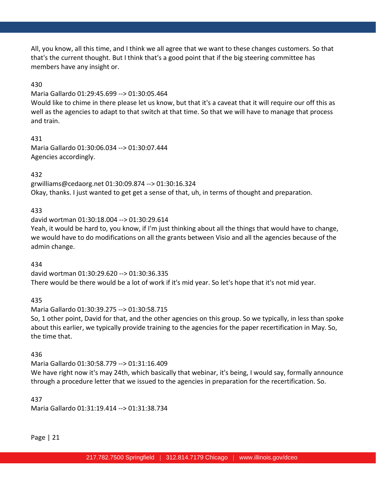All, you know, all this time, and I think we all agree that we want to these changes customers. So that that's the current thought. But I think that's a good point that if the big steering committee has members have any insight or.

### 430

Maria Gallardo 01:29:45.699 --> 01:30:05.464

Would like to chime in there please let us know, but that it's a caveat that it will require our off this as well as the agencies to adapt to that switch at that time. So that we will have to manage that process and train.

431 Maria Gallardo 01:30:06.034 --> 01:30:07.444 Agencies accordingly.

### 432

grwilliams@cedaorg.net 01:30:09.874 --> 01:30:16.324 Okay, thanks. I just wanted to get get a sense of that, uh, in terms of thought and preparation.

### 433

david wortman 01:30:18.004 --> 01:30:29.614

Yeah, it would be hard to, you know, if I'm just thinking about all the things that would have to change, we would have to do modifications on all the grants between Visio and all the agencies because of the admin change.

# 434

david wortman 01:30:29.620 --> 01:30:36.335 There would be there would be a lot of work if it's mid year. So let's hope that it's not mid year.

# 435

Maria Gallardo 01:30:39.275 --> 01:30:58.715 So, 1 other point, David for that, and the other agencies on this group. So we typically, in less than spoke about this earlier, we typically provide training to the agencies for the paper recertification in May. So, the time that.

# 436

Maria Gallardo 01:30:58.779 --> 01:31:16.409 We have right now it's may 24th, which basically that webinar, it's being, I would say, formally announce through a procedure letter that we issued to the agencies in preparation for the recertification. So.

# 437

Maria Gallardo 01:31:19.414 --> 01:31:38.734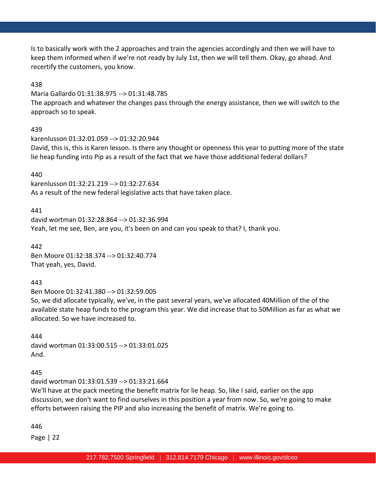Is to basically work with the 2 approaches and train the agencies accordingly and then we will have to keep them informed when if we're not ready by July 1st, then we will tell them. Okay, go ahead. And recertify the customers, you know.

### 438

Maria Gallardo 01:31:38.975 --> 01:31:48.785

The approach and whatever the changes pass through the energy assistance, then we will switch to the approach so to speak.

### 439

karenlusson 01:32:01.059 --> 01:32:20.944

David, this is, this is Karen lesson. Is there any thought or openness this year to putting more of the state lie heap funding into Pip as a result of the fact that we have those additional federal dollars?

### 440

karenlusson 01:32:21.219 --> 01:32:27.634 As a result of the new federal legislative acts that have taken place.

### 441

david wortman 01:32:28.864 --> 01:32:36.994 Yeah, let me see, Ben, are you, it's been on and can you speak to that? I, thank you.

442 Ben Moore 01:32:38.374 --> 01:32:40.774 That yeah, yes, David.

# 443

Ben Moore 01:32:41.380 --> 01:32:59.005

So, we did allocate typically, we've, in the past several years, we've allocated 40Million of the of the available state heap funds to the program this year. We did increase that to 50Million as far as what we allocated. So we have increased to.

444 david wortman 01:33:00.515 --> 01:33:01.025 And.

### 445

david wortman 01:33:01.539 --> 01:33:21.664 We'll have at the pack meeting the benefit matrix for lie heap. So, like I said, earlier on the app discussion, we don't want to find ourselves in this position a year from now. So, we're going to make efforts between raising the PIP and also increasing the benefit of matrix. We're going to.

446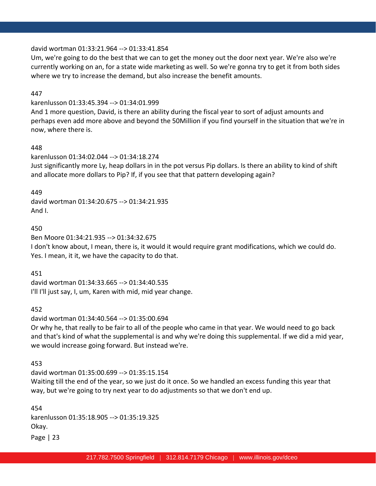### david wortman 01:33:21.964 --> 01:33:41.854

Um, we're going to do the best that we can to get the money out the door next year. We're also we're currently working on an, for a state wide marketing as well. So we're gonna try to get it from both sides where we try to increase the demand, but also increase the benefit amounts.

447

### karenlusson 01:33:45.394 --> 01:34:01.999

And 1 more question, David, is there an ability during the fiscal year to sort of adjust amounts and perhaps even add more above and beyond the 50Million if you find yourself in the situation that we're in now, where there is.

### 448

### karenlusson 01:34:02.044 --> 01:34:18.274

Just significantly more Ly, heap dollars in in the pot versus Pip dollars. Is there an ability to kind of shift and allocate more dollars to Pip? If, if you see that that pattern developing again?

#### 449

david wortman 01:34:20.675 --> 01:34:21.935 And I.

#### 450

Ben Moore 01:34:21.935 --> 01:34:32.675

I don't know about, I mean, there is, it would it would require grant modifications, which we could do. Yes. I mean, it it, we have the capacity to do that.

451

david wortman 01:34:33.665 --> 01:34:40.535 I'll I'll just say, I, um, Karen with mid, mid year change.

#### 452

david wortman 01:34:40.564 --> 01:35:00.694 Or why he, that really to be fair to all of the people who came in that year. We would need to go back and that's kind of what the supplemental is and why we're doing this supplemental. If we did a mid year, we would increase going forward. But instead we're.

#### 453

david wortman 01:35:00.699 --> 01:35:15.154

Waiting till the end of the year, so we just do it once. So we handled an excess funding this year that way, but we're going to try next year to do adjustments so that we don't end up.

Page | 23 454 karenlusson 01:35:18.905 --> 01:35:19.325 Okay.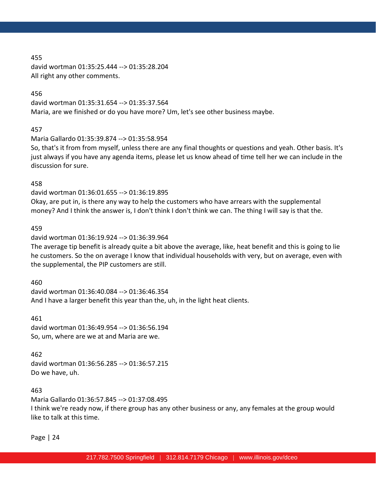david wortman 01:35:25.444 --> 01:35:28.204 All right any other comments.

### 456

david wortman 01:35:31.654 --> 01:35:37.564 Maria, are we finished or do you have more? Um, let's see other business maybe.

### 457

Maria Gallardo 01:35:39.874 --> 01:35:58.954

So, that's it from from myself, unless there are any final thoughts or questions and yeah. Other basis. It's just always if you have any agenda items, please let us know ahead of time tell her we can include in the discussion for sure.

### 458

david wortman 01:36:01.655 --> 01:36:19.895 Okay, are put in, is there any way to help the customers who have arrears with the supplemental money? And I think the answer is, I don't think I don't think we can. The thing I will say is that the.

### 459

david wortman 01:36:19.924 --> 01:36:39.964

The average tip benefit is already quite a bit above the average, like, heat benefit and this is going to lie he customers. So the on average I know that individual households with very, but on average, even with the supplemental, the PIP customers are still.

# 460

david wortman 01:36:40.084 --> 01:36:46.354 And I have a larger benefit this year than the, uh, in the light heat clients.

### 461

david wortman 01:36:49.954 --> 01:36:56.194 So, um, where are we at and Maria are we.

# 462

david wortman 01:36:56.285 --> 01:36:57.215 Do we have, uh.

# 463

Maria Gallardo 01:36:57.845 --> 01:37:08.495 I think we're ready now, if there group has any other business or any, any females at the group would like to talk at this time.